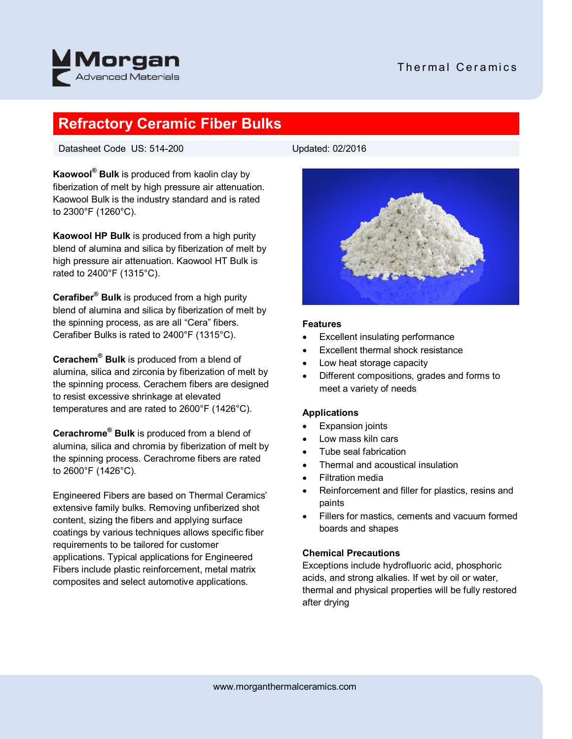



# **Refractory Ceramic Fiber Bulks**

Datasheet Code US: 514-200

**Kaowool® Bulk** is produced from kaolin clay by fiberization of melt by high pressure air attenuation. Kaowool Bulk is the industry standard and is rated to 2300°F (1260°C).

**Kaowool HP Bulk** is produced from a high purity blend of alumina and silica by fiberization of melt by high pressure air attenuation. Kaowool HT Bulk is rated to 2400°F (1315°C).

**Cerafiber® Bulk** is produced from a high purity blend of alumina and silica by fiberization of melt by the spinning process, as are all "Cera" fibers. Cerafiber Bulks is rated to 2400°F (1315°C).

**Cerachem® Bulk** is produced from a blend of alumina, silica and zirconia by fiberization of melt by the spinning process. Cerachem fibers are designed to resist excessive shrinkage at elevated temperatures and are rated to 2600°F (1426°C).

**Cerachrome® Bulk** is produced from a blend of alumina, silica and chromia by fiberization of melt by the spinning process. Cerachrome fibers are rated to 2600°F (1426°C).

Engineered Fibers are based on Thermal Ceramics' extensive family bulks. Removing unfiberized shot content, sizing the fibers and applying surface coatings by various techniques allows specific fiber requirements to be tailored for customer applications. Typical applications for Engineered Fibers include plastic reinforcement, metal matrix composites and select automotive applications.



# **Features**

- Excellent insulating performance
- Excellent thermal shock resistance
- Low heat storage capacity
- Different compositions, grades and forms to meet a variety of needs

# **Applications**

- Expansion joints
- Low mass kiln cars
- Tube seal fabrication
- Thermal and acoustical insulation
- Filtration media
- Reinforcement and filler for plastics, resins and paints
- Fillers for mastics, cements and vacuum formed boards and shapes

# **Chemical Precautions**

Exceptions include hydrofluoric acid, phosphoric acids, and strong alkalies. If wet by oil or water, thermal and physical properties will be fully restored after drying